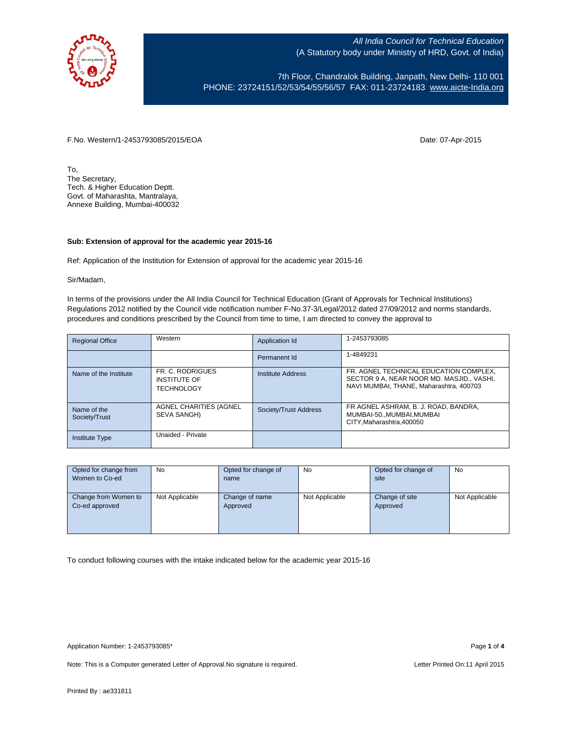

7th Floor, Chandralok Building, Janpath, New Delhi- 110 001 PHONE: 23724151/52/53/54/55/56/57 FAX: 011-23724183 [www.aicte-India.org](http://www.aicte-india.org/)

F.No. Western/1-2453793085/2015/EOA Date: 07-Apr-2015

To, The Secretary, Tech. & Higher Education Deptt. Govt. of Maharashta, Mantralaya, Annexe Building, Mumbai-400032

## **Sub: Extension of approval for the academic year 2015-16**

Ref: Application of the Institution for Extension of approval for the academic year 2015-16

Sir/Madam,

In terms of the provisions under the All India Council for Technical Education (Grant of Approvals for Technical Institutions) Regulations 2012 notified by the Council vide notification number F-No.37-3/Legal/2012 dated 27/09/2012 and norms standards, procedures and conditions prescribed by the Council from time to time, I am directed to convey the approval to

| <b>Regional Office</b>       | Western                                                      | Application Id        | 1-2453793085                                                                                                                   |
|------------------------------|--------------------------------------------------------------|-----------------------|--------------------------------------------------------------------------------------------------------------------------------|
|                              |                                                              | Permanent Id          | 1-4849231                                                                                                                      |
| Name of the Institute        | FR. C. RODRIGUES<br><b>INSTITUTE OF</b><br><b>TECHNOLOGY</b> | Institute Address     | FR. AGNEL TECHNICAL EDUCATION COMPLEX.<br>SECTOR 9 A, NEAR NOOR MD. MASJID., VASHI,<br>NAVI MUMBAI, THANE, Maharashtra, 400703 |
| Name of the<br>Society/Trust | AGNEL CHARITIES (AGNEL<br>SEVA SANGH)                        | Society/Trust Address | FR AGNEL ASHRAM, B. J. ROAD, BANDRA,<br>MUMBAI-50., MUMBAI, MUMBAI<br>CITY.Maharashtra.400050                                  |
| <b>Institute Type</b>        | Unaided - Private                                            |                       |                                                                                                                                |

| Opted for change from | <b>No</b>      | Opted for change of | No             | Opted for change of | No             |
|-----------------------|----------------|---------------------|----------------|---------------------|----------------|
| Women to Co-ed        |                | name                |                | site                |                |
|                       |                |                     |                |                     |                |
| Change from Women to  | Not Applicable | Change of name      | Not Applicable | Change of site      | Not Applicable |
| Co-ed approved        |                | Approved            |                | Approved            |                |
|                       |                |                     |                |                     |                |
|                       |                |                     |                |                     |                |
|                       |                |                     |                |                     |                |

To conduct following courses with the intake indicated below for the academic year 2015-16

Note: This is a Computer generated Letter of Approval. No signature is required. Letter Printed On:11 April 2015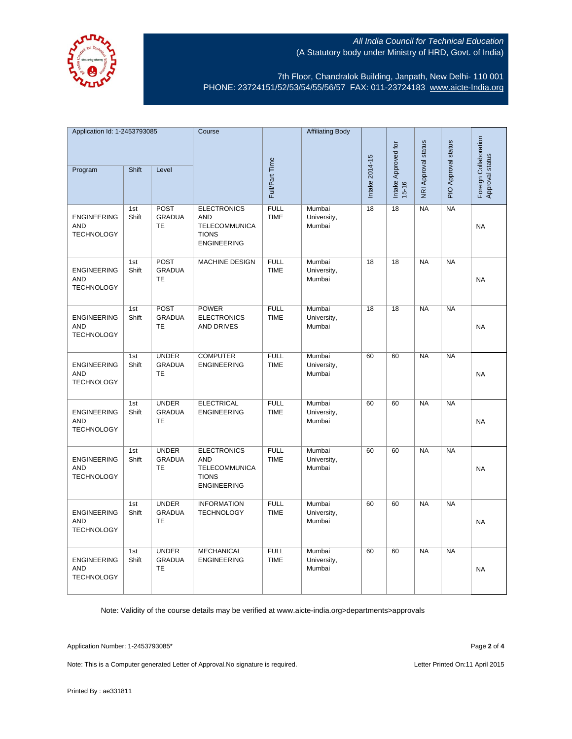

7th Floor, Chandralok Building, Janpath, New Delhi- 110 001 PHONE: 23724151/52/53/54/55/56/57 FAX: 011-23724183 [www.aicte-India.org](http://www.aicte-india.org/)

| Application Id: 1-2453793085                          |              | Course                                     |                                                                                                | <b>Affiliating Body</b>    |                                 |                              |                     |                     |                                          |           |
|-------------------------------------------------------|--------------|--------------------------------------------|------------------------------------------------------------------------------------------------|----------------------------|---------------------------------|------------------------------|---------------------|---------------------|------------------------------------------|-----------|
| Shift<br>Program<br>Level                             |              |                                            | Full/Part Time                                                                                 |                            | Intake 2014-15                  | Intake Approved for<br>15-16 | NRI Approval status | PIO Approval status | Foreign Collaboration<br>Approval status |           |
|                                                       |              |                                            |                                                                                                |                            |                                 |                              |                     |                     |                                          |           |
| <b>ENGINEERING</b><br><b>AND</b><br><b>TECHNOLOGY</b> | 1st<br>Shift | POST<br><b>GRADUA</b><br><b>TE</b>         | <b>ELECTRONICS</b><br><b>AND</b><br><b>TELECOMMUNICA</b><br><b>TIONS</b><br><b>ENGINEERING</b> | <b>FULL</b><br><b>TIME</b> | Mumbai<br>University,<br>Mumbai | $\overline{18}$              | $\overline{18}$     | NA                  | NA                                       | <b>NA</b> |
| <b>ENGINEERING</b><br><b>AND</b><br><b>TECHNOLOGY</b> | 1st<br>Shift | POST<br><b>GRADUA</b><br>TE                | <b>MACHINE DESIGN</b>                                                                          | <b>FULL</b><br><b>TIME</b> | Mumbai<br>University,<br>Mumbai | 18                           | 18                  | <b>NA</b>           | NA                                       | <b>NA</b> |
| <b>ENGINEERING</b><br><b>AND</b><br><b>TECHNOLOGY</b> | 1st<br>Shift | POST<br><b>GRADUA</b><br><b>TE</b>         | <b>POWER</b><br><b>ELECTRONICS</b><br>AND DRIVES                                               | <b>FULL</b><br><b>TIME</b> | Mumbai<br>University,<br>Mumbai | 18                           | 18                  | <b>NA</b>           | $\overline{\mathsf{NA}}$                 | <b>NA</b> |
| <b>ENGINEERING</b><br><b>AND</b><br><b>TECHNOLOGY</b> | 1st<br>Shift | <b>UNDER</b><br><b>GRADUA</b><br>TE        | <b>COMPUTER</b><br><b>ENGINEERING</b>                                                          | <b>FULL</b><br><b>TIME</b> | Mumbai<br>University,<br>Mumbai | 60                           | 60                  | NA                  | NA                                       | <b>NA</b> |
| <b>ENGINEERING</b><br><b>AND</b><br><b>TECHNOLOGY</b> | 1st<br>Shift | <b>UNDER</b><br><b>GRADUA</b><br><b>TE</b> | <b>ELECTRICAL</b><br><b>ENGINEERING</b>                                                        | <b>FULL</b><br><b>TIME</b> | Mumbai<br>University,<br>Mumbai | 60                           | 60                  | $N_A$               | NA                                       | <b>NA</b> |
| <b>ENGINEERING</b><br><b>AND</b><br><b>TECHNOLOGY</b> | 1st<br>Shift | <b>UNDER</b><br><b>GRADUA</b><br>TE        | <b>ELECTRONICS</b><br><b>AND</b><br><b>TELECOMMUNICA</b><br><b>TIONS</b><br><b>ENGINEERING</b> | <b>FULL</b><br><b>TIME</b> | Mumbai<br>University,<br>Mumbai | 60                           | 60                  | <b>NA</b>           | <b>NA</b>                                | <b>NA</b> |
| <b>ENGINEERING</b><br><b>AND</b><br><b>TECHNOLOGY</b> | 1st<br>Shift | <b>UNDER</b><br><b>GRADUA</b><br>TE        | <b>INFORMATION</b><br><b>TECHNOLOGY</b>                                                        | <b>FULL</b><br><b>TIME</b> | Mumbai<br>University,<br>Mumbai | 60                           | 60                  | <b>NA</b>           | <b>NA</b>                                | <b>NA</b> |
| <b>ENGINEERING</b><br><b>AND</b><br><b>TECHNOLOGY</b> | 1st<br>Shift | <b>UNDER</b><br>GRADUA<br>TE               | <b>MECHANICAL</b><br><b>ENGINEERING</b>                                                        | <b>FULL</b><br><b>TIME</b> | Mumbai<br>University,<br>Mumbai | 60                           | 60                  | NA                  | NA                                       | <b>NA</b> |

Note: Validity of the course details may be verified at www.aicte-india.org>departments>approvals

Application Number: 1-2453793085\* Page **2** of **4**

Note: This is a Computer generated Letter of Approval. No signature is required. Letter Printed On:11 April 2015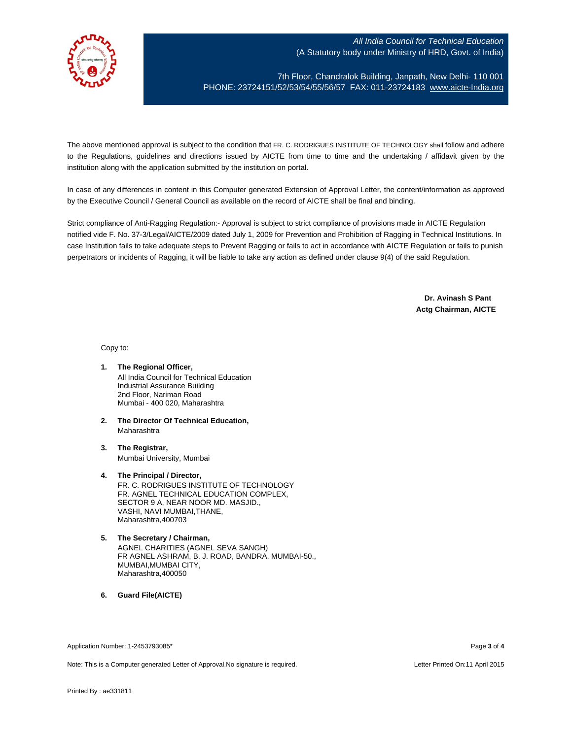

7th Floor, Chandralok Building, Janpath, New Delhi- 110 001 PHONE: 23724151/52/53/54/55/56/57 FAX: 011-23724183 [www.aicte-India.org](http://www.aicte-india.org/)

The above mentioned approval is subject to the condition that FR. C. RODRIGUES INSTITUTE OF TECHNOLOGY shall follow and adhere to the Regulations, guidelines and directions issued by AICTE from time to time and the undertaking / affidavit given by the institution along with the application submitted by the institution on portal.

In case of any differences in content in this Computer generated Extension of Approval Letter, the content/information as approved by the Executive Council / General Council as available on the record of AICTE shall be final and binding.

Strict compliance of Anti-Ragging Regulation:- Approval is subject to strict compliance of provisions made in AICTE Regulation notified vide F. No. 37-3/Legal/AICTE/2009 dated July 1, 2009 for Prevention and Prohibition of Ragging in Technical Institutions. In case Institution fails to take adequate steps to Prevent Ragging or fails to act in accordance with AICTE Regulation or fails to punish perpetrators or incidents of Ragging, it will be liable to take any action as defined under clause 9(4) of the said Regulation.

> **Dr. Avinash S Pant Actg Chairman, AICTE**

Copy to:

- **1. The Regional Officer,** All India Council for Technical Education Industrial Assurance Building 2nd Floor, Nariman Road Mumbai - 400 020, Maharashtra
- **2. The Director Of Technical Education,** Maharashtra
- **3. The Registrar,** Mumbai University, Mumbai
- **4. The Principal / Director,** FR. C. RODRIGUES INSTITUTE OF TECHNOLOGY FR. AGNEL TECHNICAL EDUCATION COMPLEX, SECTOR 9 A, NEAR NOOR MD. MASJID., VASHI, NAVI MUMBAI,THANE, Maharashtra,400703
- **5. The Secretary / Chairman,** AGNEL CHARITIES (AGNEL SEVA SANGH) FR AGNEL ASHRAM, B. J. ROAD, BANDRA, MUMBAI-50., MUMBAI,MUMBAI CITY, Maharashtra,400050

**6. Guard File(AICTE)**

Application Number: 1-2453793085\* Page **3** of **4**

Note: This is a Computer generated Letter of Approval.No signature is required. Letter According the state of the Letter Printed On:11 April 2015